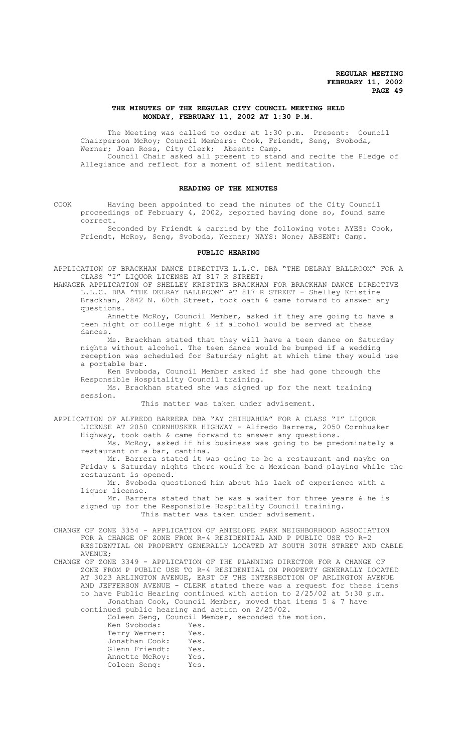## **THE MINUTES OF THE REGULAR CITY COUNCIL MEETING HELD MONDAY, FEBRUARY 11, 2002 AT 1:30 P.M.**

The Meeting was called to order at 1:30 p.m. Present: Council Chairperson McRoy; Council Members: Cook, Friendt, Seng, Svoboda, Werner; Joan Ross, City Clerk; Absent: Camp. Council Chair asked all present to stand and recite the Pledge of Allegiance and reflect for a moment of silent meditation.

## **READING OF THE MINUTES**

COOK Having been appointed to read the minutes of the City Council proceedings of February 4, 2002, reported having done so, found same correct.

Seconded by Friendt & carried by the following vote: AYES: Cook, Friendt, McRoy, Seng, Svoboda, Werner; NAYS: None; ABSENT: Camp.

#### **PUBLIC HEARING**

APPLICATION OF BRACKHAN DANCE DIRECTIVE L.L.C. DBA "THE DELRAY BALLROOM" FOR A CLASS "I" LIQUOR LICENSE AT 817 R STREET;

MANAGER APPLICATION OF SHELLEY KRISTINE BRACKHAN FOR BRACKHAN DANCE DIRECTIVE L.L.C. DBA "THE DELRAY BALLROOM" AT 817 R STREET - Shelley Kristine Brackhan, 2842 N. 60th Street, took oath & came forward to answer any questions.

Annette McRoy, Council Member, asked if they are going to have a teen night or college night & if alcohol would be served at these dances.

Ms. Brackhan stated that they will have a teen dance on Saturday nights without alcohol. The teen dance would be bumped if a wedding reception was scheduled for Saturday night at which time they would use a portable bar.

Ken Svoboda, Council Member asked if she had gone through the Responsible Hospitality Council training.

Ms. Brackhan stated she was signed up for the next training session.

This matter was taken under advisement.

APPLICATION OF ALFREDO BARRERA DBA "AY CHIHUAHUA" FOR A CLASS "I" LIQUOR LICENSE AT 2050 CORNHUSKER HIGHWAY - Alfredo Barrera, 2050 Cornhusker Highway, took oath & came forward to answer any questions.

Ms. McRoy, asked if his business was going to be predominately a restaurant or a bar, cantina.

Mr. Barrera stated it was going to be a restaurant and maybe on Friday & Saturday nights there would be a Mexican band playing while the restaurant is opened.

Mr. Svoboda questioned him about his lack of experience with a liquor license.

Mr. Barrera stated that he was a waiter for three years & he is signed up for the Responsible Hospitality Council training. This matter was taken under advisement.

CHANGE OF ZONE 3354 - APPLICATION OF ANTELOPE PARK NEIGHBORHOOD ASSOCIATION FOR A CHANGE OF ZONE FROM R-4 RESIDENTIAL AND P PUBLIC USE TO R-2 RESIDENTIAL ON PROPERTY GENERALLY LOCATED AT SOUTH 30TH STREET AND CABLE AVENUE;

CHANGE OF ZONE 3349 - APPLICATION OF THE PLANNING DIRECTOR FOR A CHANGE OF ZONE FROM P PUBLIC USE TO R-4 RESIDENTIAL ON PROPERTY GENERALLY LOCATED AT 3023 ARLINGTON AVENUE, EAST OF THE INTERSECTION OF ARLINGTON AVENUE AND JEFFERSON AVENUE - CLERK stated there was a request for these items to have Public Hearing continued with action to 2/25/02 at 5:30 p.m. Jonathan Cook, Council Member, moved that items 5 & 7 have continued public hearing and action on 2/25/02.

Coleen Seng, Council Member, seconded the motion.

| Ken Svoboda:   | Yes. |
|----------------|------|
| Terry Werner:  | Yes. |
| Jonathan Cook: | Yes. |
| Glenn Friendt: | Yes. |
| Annette McRoy: | Yes. |
| Coleen Seng:   | Yes. |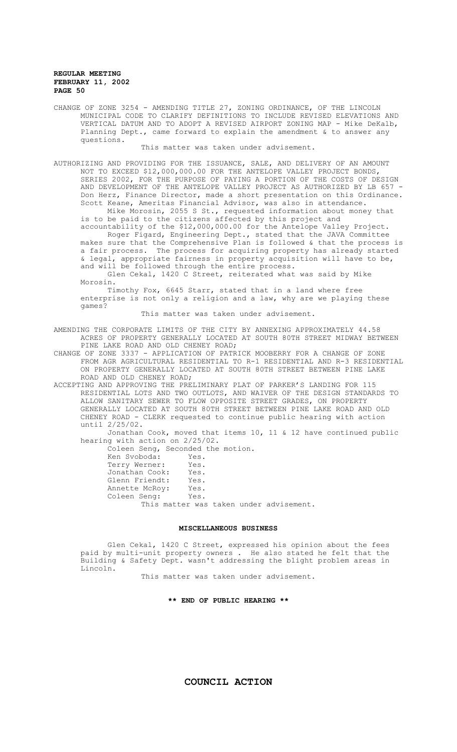CHANGE OF ZONE 3254 - AMENDING TITLE 27, ZONING ORDINANCE, OF THE LINCOLN MUNICIPAL CODE TO CLARIFY DEFINITIONS TO INCLUDE REVISED ELEVATIONS AND VERTICAL DATUM AND TO ADOPT A REVISED AIRPORT ZONING MAP - Mike DeKalb, Planning Dept., came forward to explain the amendment & to answer any questions.

This matter was taken under advisement.

AUTHORIZING AND PROVIDING FOR THE ISSUANCE, SALE, AND DELIVERY OF AN AMOUNT NOT TO EXCEED \$12,000,000.00 FOR THE ANTELOPE VALLEY PROJECT BONDS, SERIES 2002, FOR THE PURPOSE OF PAYING A PORTION OF THE COSTS OF DESIGN AND DEVELOPMENT OF THE ANTELOPE VALLEY PROJECT AS AUTHORIZED BY LB 657 -Don Herz, Finance Director, made a short presentation on this Ordinance. Scott Keane, Ameritas Financial Advisor, was also in attendance. Mike Morosin, 2055 S St., requested information about money that

is to be paid to the citizens affected by this project and accountability of the \$12,000,000.00 for the Antelope Valley Project.

Roger Figard, Engineering Dept., stated that the JAVA Committee makes sure that the Comprehensive Plan is followed  $\&$  that the process is a fair process. The process for acquiring property has already started The process for acquiring property has already started & legal, appropriate fairness in property acquisition will have to be, and will be followed through the entire process.

Glen Cekal, 1420 C Street, reiterated what was said by Mike Morosin.

Timothy Fox, 6645 Starr, stated that in a land where free enterprise is not only a religion and a law, why are we playing these games?

This matter was taken under advisement.

AMENDING THE CORPORATE LIMITS OF THE CITY BY ANNEXING APPROXIMATELY 44.58 ACRES OF PROPERTY GENERALLY LOCATED AT SOUTH 80TH STREET MIDWAY BETWEEN PINE LAKE ROAD AND OLD CHENEY ROAD;

CHANGE OF ZONE 3337 - APPLICATION OF PATRICK MOOBERRY FOR A CHANGE OF ZONE FROM AGR AGRICULTURAL RESIDENTIAL TO R-1 RESIDENTIAL AND R-3 RESIDENTIAL ON PROPERTY GENERALLY LOCATED AT SOUTH 80TH STREET BETWEEN PINE LAKE ROAD AND OLD CHENEY ROAD;

ACCEPTING AND APPROVING THE PRELIMINARY PLAT OF PARKER'S LANDING FOR 115 RESIDENTIAL LOTS AND TWO OUTLOTS, AND WAIVER OF THE DESIGN STANDARDS TO ALLOW SANITARY SEWER TO FLOW OPPOSITE STREET GRADES, ON PROPERTY GENERALLY LOCATED AT SOUTH 80TH STREET BETWEEN PINE LAKE ROAD AND OLD CHENEY ROAD - CLERK requested to continue public hearing with action until 2/25/02.

Jonathan Cook, moved that items 10, 11 & 12 have continued public hearing with action on 2/25/02.

Coleen Seng, Seconded the motion.<br>Ken Syoboda: Yes.

| Ken Svoboda:   | Yes. |  |                                         |
|----------------|------|--|-----------------------------------------|
| Terry Werner:  | Yes. |  |                                         |
| Jonathan Cook: | Yes. |  |                                         |
| Glenn Friendt: | Yes. |  |                                         |
| Annette McRoy: | Yes. |  |                                         |
| Coleen Seng:   | Yes. |  |                                         |
|                |      |  | This matter was taken under advisement. |

#### **MISCELLANEOUS BUSINESS**

Glen Cekal, 1420 C Street, expressed his opinion about the fees paid by multi-unit property owners . He also stated he felt that the Building & Safety Dept. wasn't addressing the blight problem areas in Lincoln.

This matter was taken under advisement.

## **\*\* END OF PUBLIC HEARING \*\***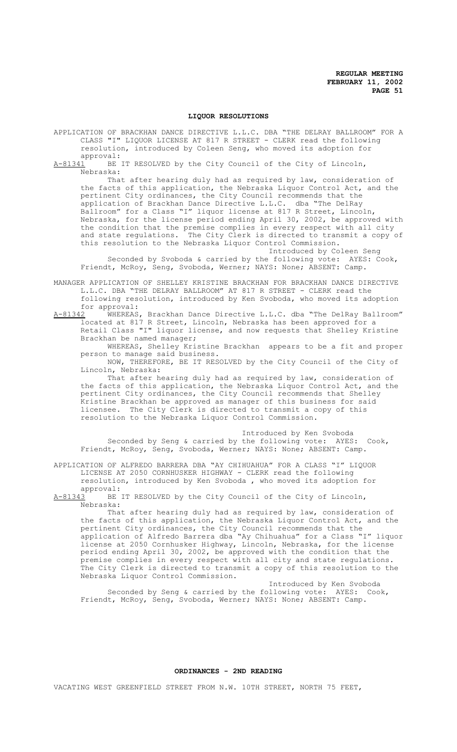#### **LIQUOR RESOLUTIONS**

APPLICATION OF BRACKHAN DANCE DIRECTIVE L.L.C. DBA "THE DELRAY BALLROOM" FOR A CLASS "I" LIQUOR LICENSE AT 817 R STREET - CLERK read the following resolution, introduced by Coleen Seng, who moved its adoption for

approval:<br>A-81341 BE BE IT RESOLVED by the City Council of the City of Lincoln, Nebraska:

That after hearing duly had as required by law, consideration of the facts of this application, the Nebraska Liquor Control Act, and the pertinent City ordinances, the City Council recommends that the application of Brackhan Dance Directive L.L.C. dba "The DelRay Ballroom" for a Class "I" liquor license at 817 R Street, Lincoln, Nebraska, for the license period ending April 30, 2002, be approved with the condition that the premise complies in every respect with all city and state regulations. The City Clerk is directed to transmit a copy of this resolution to the Nebraska Liquor Control Commission.

Introduced by Coleen Seng Seconded by Svoboda & carried by the following vote: AYES: Cook, Friendt, McRoy, Seng, Svoboda, Werner; NAYS: None; ABSENT: Camp.

MANAGER APPLICATION OF SHELLEY KRISTINE BRACKHAN FOR BRACKHAN DANCE DIRECTIVE L.L.C. DBA "THE DELRAY BALLROOM" AT 817 R STREET - CLERK read the following resolution, introduced by Ken Svoboda, who moved its adoption

for approval:<br>A-81342 WHEREAS WHEREAS, Brackhan Dance Directive L.L.C. dba "The DelRay Ballroom" located at 817 R Street, Lincoln, Nebraska has been approved for a Retail Class "I" liquor license, and now requests that Shelley Kristine Brackhan be named manager;

WHEREAS, Shelley Kristine Brackhan appears to be a fit and proper person to manage said business.

NOW, THEREFORE, BE IT RESOLVED by the City Council of the City of Lincoln, Nebraska:

That after hearing duly had as required by law, consideration of the facts of this application, the Nebraska Liquor Control Act, and the pertinent City ordinances, the City Council recommends that Shelley Kristine Brackhan be approved as manager of this business for said licensee. The City Clerk is directed to transmit a copy of this resolution to the Nebraska Liquor Control Commission.

Introduced by Ken Svoboda Seconded by Seng & carried by the following vote: AYES: Cook, Friendt, McRoy, Seng, Svoboda, Werner; NAYS: None; ABSENT: Camp.

APPLICATION OF ALFREDO BARRERA DBA "AY CHIHUAHUA" FOR A CLASS "I" LIQUOR LICENSE AT 2050 CORNHUSKER HIGHWAY - CLERK read the following resolution, introduced by Ken Svoboda , who moved its adoption for

approval:<br>A-81343 BE BE IT RESOLVED by the City Council of the City of Lincoln, Nebraska:

That after hearing duly had as required by law, consideration of the facts of this application, the Nebraska Liquor Control Act, and the pertinent City ordinances, the City Council recommends that the application of Alfredo Barrera dba "Ay Chihuahua" for a Class "I" liquor license at 2050 Cornhusker Highway, Lincoln, Nebraska, for the license period ending April 30, 2002, be approved with the condition that the premise complies in every respect with all city and state regulations. The City Clerk is directed to transmit a copy of this resolution to the Nebraska Liquor Control Commission.

Introduced by Ken Svoboda<br>
illowing vote: AYES: Cook, Seconded by Seng & carried by the following vote: AYES: Cook, Friendt, McRoy, Seng, Svoboda, Werner; NAYS: None; ABSENT: Camp.

**ORDINANCES - 2ND READING**

VACATING WEST GREENFIELD STREET FROM N.W. 10TH STREET, NORTH 75 FEET,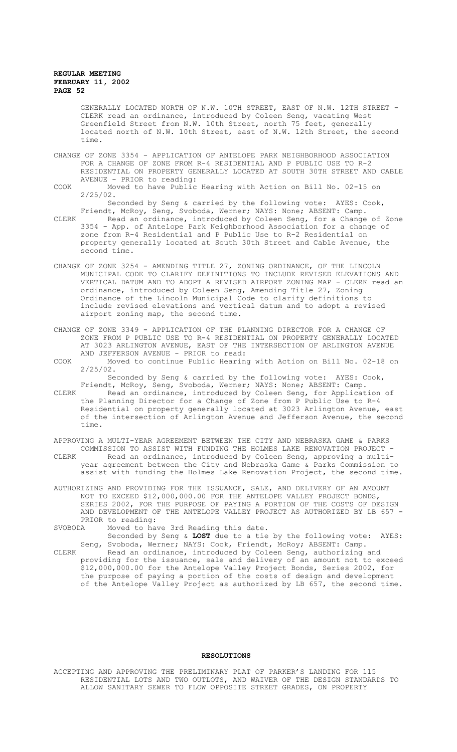GENERALLY LOCATED NORTH OF N.W. 10TH STREET, EAST OF N.W. 12TH STREET - CLERK read an ordinance, introduced by Coleen Seng, vacating West Greenfield Street from N.W. 10th Street, north 75 feet, generally located north of N.W. 10th Street, east of N.W. 12th Street, the second time.

- CHANGE OF ZONE 3354 APPLICATION OF ANTELOPE PARK NEIGHBORHOOD ASSOCIATION FOR A CHANGE OF ZONE FROM R-4 RESIDENTIAL AND P PUBLIC USE TO R-2 RESIDENTIAL ON PROPERTY GENERALLY LOCATED AT SOUTH 30TH STREET AND CABLE AVENUE - PRIOR to reading:
- COOK Moved to have Public Hearing with Action on Bill No. 02-15 on 2/25/02.

Seconded by Seng & carried by the following vote: AYES: Cook, Friendt, McRoy, Seng, Svoboda, Werner; NAYS: None; ABSENT: Camp.

- CLERK Read an ordinance, introduced by Coleen Seng, for a Change of Zone 3354 - App. of Antelope Park Neighborhood Association for a change of zone from R-4 Residential and P Public Use to R-2 Residential on property generally located at South 30th Street and Cable Avenue, the second time.
- CHANGE OF ZONE 3254 AMENDING TITLE 27, ZONING ORDINANCE, OF THE LINCOLN MUNICIPAL CODE TO CLARIFY DEFINITIONS TO INCLUDE REVISED ELEVATIONS AND VERTICAL DATUM AND TO ADOPT A REVISED AIRPORT ZONING MAP - CLERK read an ordinance, introduced by Coleen Seng, Amending Title 27, Zoning Ordinance of the Lincoln Municipal Code to clarify definitions to include revised elevations and vertical datum and to adopt a revised airport zoning map, the second time.
- CHANGE OF ZONE 3349 APPLICATION OF THE PLANNING DIRECTOR FOR A CHANGE OF ZONE FROM P PUBLIC USE TO R-4 RESIDENTIAL ON PROPERTY GENERALLY LOCATED AT 3023 ARLINGTON AVENUE, EAST OF THE INTERSECTION OF ARLINGTON AVENUE AND JEFFERSON AVENUE - PRIOR to read:
- COOK Moved to continue Public Hearing with Action on Bill No. 02-18 on 2/25/02.

Seconded by Seng & carried by the following vote: AYES: Cook, Friendt, McRoy, Seng, Svoboda, Werner; NAYS: None; ABSENT: Camp.

- CLERK Read an ordinance, introduced by Coleen Seng, for Application of the Planning Director for a Change of Zone from P Public Use to R-4 Residential on property generally located at 3023 Arlington Avenue, east of the intersection of Arlington Avenue and Jefferson Avenue, the second time.
- APPROVING A MULTI-YEAR AGREEMENT BETWEEN THE CITY AND NEBRASKA GAME & PARKS COMMISSION TO ASSIST WITH FUNDING THE HOLMES LAKE RENOVATION PROJECT - CLERK Read an ordinance, introduced by Coleen Seng, approving a multiyear agreement between the City and Nebraska Game & Parks Commission to assist with funding the Holmes Lake Renovation Project, the second time.
- AUTHORIZING AND PROVIDING FOR THE ISSUANCE, SALE, AND DELIVERY OF AN AMOUNT NOT TO EXCEED \$12,000,000.00 FOR THE ANTELOPE VALLEY PROJECT BONDS, SERIES 2002, FOR THE PURPOSE OF PAYING A PORTION OF THE COSTS OF DESIGN AND DEVELOPMENT OF THE ANTELOPE VALLEY PROJECT AS AUTHORIZED BY LB 657 - PRIOR to reading:<br>SVORODA Moved to hap
- Moved to have 3rd Reading this date. Seconded by Seng & **LOST** due to a tie by the following vote: AYES: Seng, Svoboda, Werner; NAYS: Cook, Friendt, McRoy; ABSENT: Camp.
- CLERK Read an ordinance, introduced by Coleen Seng, authorizing and providing for the issuance, sale and delivery of an amount not to exceed \$12,000,000.00 for the Antelope Valley Project Bonds, Series 2002, for the purpose of paying a portion of the costs of design and development of the Antelope Valley Project as authorized by LB 657, the second time.

#### **RESOLUTIONS**

ACCEPTING AND APPROVING THE PRELIMINARY PLAT OF PARKER'S LANDING FOR 115 RESIDENTIAL LOTS AND TWO OUTLOTS, AND WAIVER OF THE DESIGN STANDARDS TO ALLOW SANITARY SEWER TO FLOW OPPOSITE STREET GRADES, ON PROPERTY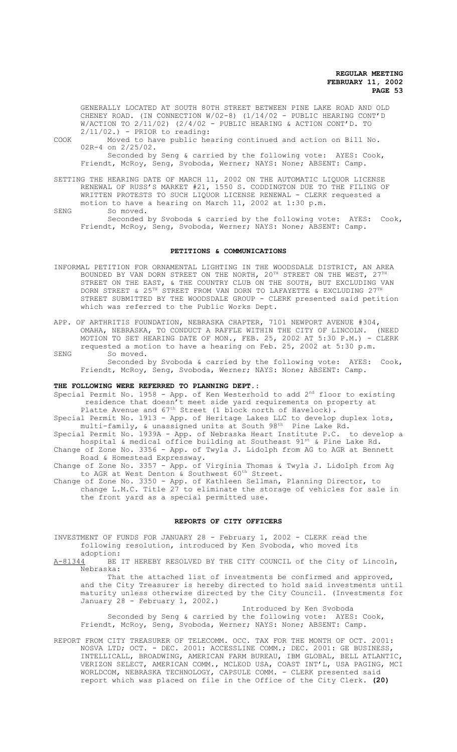GENERALLY LOCATED AT SOUTH 80TH STREET BETWEEN PINE LAKE ROAD AND OLD CHENEY ROAD. (IN CONNECTION W/02-8) (1/14/02 - PUBLIC HEARING CONT'D W/ACTION TO 2/11/02) (2/4/02 - PUBLIC HEARING & ACTION CONT'D. TO  $2/11/02.$ ) - PRIOR to reading:

COOK Moved to have public hearing continued and action on Bill No. 02R-4 on 2/25/02. Seconded by Seng & carried by the following vote: AYES: Cook, Friendt, McRoy, Seng, Svoboda, Werner; NAYS: None; ABSENT: Camp.

SETTING THE HEARING DATE OF MARCH 11, 2002 ON THE AUTOMATIC LIQUOR LICENSE RENEWAL OF RUSS'S MARKET #21, 1550 S. CODDINGTON DUE TO THE FILING OF WRITTEN PROTESTS TO SUCH LIQUOR LICENSE RENEWAL - CLERK requested a

motion to have a hearing on March 11, 2002 at 1:30 p.m. SENG So moved.

Seconded by Svoboda & carried by the following vote: AYES: Cook, Friendt, McRoy, Seng, Svoboda, Werner; NAYS: None; ABSENT: Camp.

#### **PETITIONS & COMMUNICATIONS**

- INFORMAL PETITION FOR ORNAMENTAL LIGHTING IN THE WOODSDALE DISTRICT, AN AREA BOUNDED BY VAN DORN STREET ON THE NORTH,  $20^{\texttt{TH}}$  STREET ON THE WEST,  $27^{\texttt{TH}}$ STREET ON THE EAST, & THE COUNTRY CLUB ON THE SOUTH, BUT EXCLUDING VAN DORN STREET & 25<sup>TH</sup> STREET FROM VAN DORN TO LAFAYETTE & EXCLUDING 27<sup>TH</sup> STREET SUBMITTED BY THE WOODSDALE GROUP - CLERK presented said petition which was referred to the Public Works Dept.
- APP. OF ARTHRITIS FOUNDATION, NEBRASKA CHAPTER, 7101 NEWPORT AVENUE #304, OMAHA, NEBRASKA, TO CONDUCT A RAFFLE WITHIN THE CITY OF LINCOLN. (NEED MOTION TO SET HEARING DATE OF MON., FEB. 25, 2002 AT  $5:30$  P.M.) - CLERK requested a motion to have a hearing on Feb. 25, 2002 at 5:30 p.m.
- SENG So moved.

Seconded by Svoboda & carried by the following vote: AYES: Cook, Friendt, McRoy, Seng, Svoboda, Werner; NAYS: None; ABSENT: Camp.

## **THE FOLLOWING WERE REFERRED TO PLANNING DEPT.:**

Special Permit No. 1958 - App. of Ken Westerhold to add  $2<sup>nd</sup>$  floor to existing residence that doesn't meet side yard requirements on property at Platte Avenue and  $67<sup>th</sup>$  Street (1 block north of Havelock).

Special Permit No. 1913 - App. of Heritage Lakes LLC to develop duplex lots, multi-family, & unassigned units at South  $98^{\text{th}}$  Pine Lake Rd.

Special Permit No. 1939A - App. of Nebraska Heart Institute P.C. to develop a hospital & medical office building at Southeast  $91^{st}$  & Pine Lake Rd. Change of Zone No. 3356 - App. of Twyla J. Lidolph from AG to AGR at Bennett Road & Homestead Expressway.

- Change of Zone No. 3357 App. of Virginia Thomas & Twyla J. Lidolph from Ag to AGR at West Denton & Southwest 60<sup>th</sup> Street.
- Change of Zone No. 3350 App. of Kathleen Sellman, Planning Director, to change L.M.C. Title 27 to eliminate the storage of vehicles for sale in the front yard as a special permitted use.

#### **REPORTS OF CITY OFFICERS**

INVESTMENT OF FUNDS FOR JANUARY 28 - February 1, 2002 - CLERK read the following resolution, introduced by Ken Svoboda, who moved its

 $adoption: A-81344$  BE BE IT HEREBY RESOLVED BY THE CITY COUNCIL of the City of Lincoln, Nebraska:

That the attached list of investments be confirmed and approved, and the City Treasurer is hereby directed to hold said investments until maturity unless otherwise directed by the City Council. (Investments for January 28 - February 1, 2002.)

Introduced by Ken Svoboda Seconded by Seng & carried by the following vote: AYES: Cook, Friendt, McRoy, Seng, Svoboda, Werner; NAYS: None; ABSENT: Camp.

REPORT FROM CITY TREASURER OF TELECOMM. OCC. TAX FOR THE MONTH OF OCT. 2001: NOSVA LTD; OCT. - DEC. 2001: ACCESSLINE COMM.; DEC. 2001: GE BUSINESS, INTELLICALL, BROADWING, AMERICAN FARM BUREAU, IBM GLOBAL, BELL ATLANTIC, VERIZON SELECT, AMERICAN COMM., MCLEOD USA, COAST INT'L, USA PAGING, MCI WORLDCOM, NEBRASKA TECHNOLOGY, CAPSULE COMM. - CLERK presented said report which was placed on file in the Office of the City Clerk. **(20)**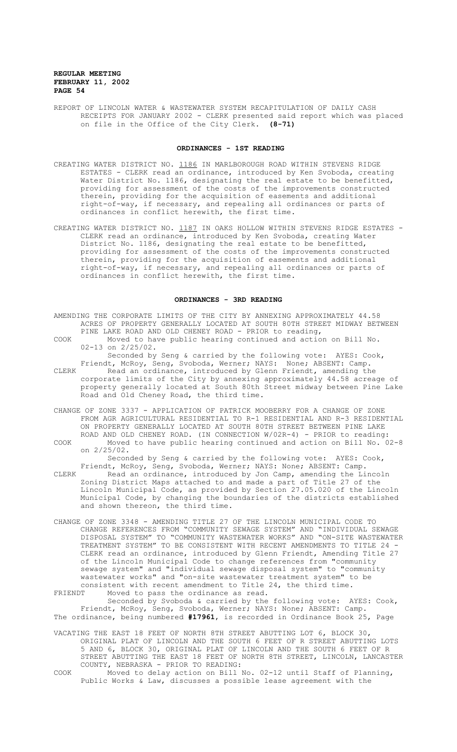REPORT OF LINCOLN WATER & WASTEWATER SYSTEM RECAPITULATION OF DAILY CASH RECEIPTS FOR JANUARY 2002 - CLERK presented said report which was placed on file in the Office of the City Clerk. **(8-71)**

# **ORDINANCES - 1ST READING**

- CREATING WATER DISTRICT NO. 1186 IN MARLBOROUGH ROAD WITHIN STEVENS RIDGE ESTATES - CLERK read an ordinance, introduced by Ken Svoboda, creating Water District No. 1186, designating the real estate to be benefitted, providing for assessment of the costs of the improvements constructed therein, providing for the acquisition of easements and additional right-of-way, if necessary, and repealing all ordinances or parts of ordinances in conflict herewith, the first time.
- CREATING WATER DISTRICT NO. 1187 IN OAKS HOLLOW WITHIN STEVENS RIDGE ESTATES -CLERK read an ordinance, introduced by Ken Svoboda, creating Water District No. 1186, designating the real estate to be benefitted, providing for assessment of the costs of the improvements constructed therein, providing for the acquisition of easements and additional right-of-way, if necessary, and repealing all ordinances or parts of ordinances in conflict herewith, the first time.

## **ORDINANCES - 3RD READING**

- AMENDING THE CORPORATE LIMITS OF THE CITY BY ANNEXING APPROXIMATELY 44.58 ACRES OF PROPERTY GENERALLY LOCATED AT SOUTH 80TH STREET MIDWAY BETWEEN PINE LAKE ROAD AND OLD CHENEY ROAD - PRIOR to reading,
- COOK Moved to have public hearing continued and action on Bill No. 02-13 on 2/25/02.

Seconded by Seng & carried by the following vote: AYES: Cook, Friendt, McRoy, Seng, Svoboda, Werner; NAYS: None; ABSENT: Camp. CLERK Read an ordinance, introduced by Glenn Friendt, amending the corporate limits of the City by annexing approximately 44.58 acreage of property generally located at South 80th Street midway between Pine Lake

- CHANGE OF ZONE 3337 APPLICATION OF PATRICK MOOBERRY FOR A CHANGE OF ZONE FROM AGR AGRICULTURAL RESIDENTIAL TO R-1 RESIDENTIAL AND R-3 RESIDENTIAL ON PROPERTY GENERALLY LOCATED AT SOUTH 80TH STREET BETWEEN PINE LAKE ROAD AND OLD CHENEY ROAD. (IN CONNECTION W/02R-4) - PRIOR to reading: COOK Moved to have public hearing continued and action on Bill No. 02-8
	- on 2/25/02. Seconded by Seng & carried by the following vote: AYES: Cook,

Friendt, McRoy, Seng, Svoboda, Werner; NAYS: None; ABSENT: Camp.

- CLERK Read an ordinance, introduced by Jon Camp, amending the Lincoln Zoning District Maps attached to and made a part of Title 27 of the Lincoln Municipal Code, as provided by Section 27.05.020 of the Lincoln Municipal Code, by changing the boundaries of the districts established and shown thereon, the third time.
- CHANGE OF ZONE 3348 AMENDING TITLE 27 OF THE LINCOLN MUNICIPAL CODE TO CHANGE REFERENCES FROM "COMMUNITY SEWAGE SYSTEM" AND "INDIVIDUAL SEWAGE DISPOSAL SYSTEM" TO "COMMUNITY WASTEWATER WORKS" AND "ON-SITE WASTEWATER TREATMENT SYSTEM" TO BE CONSISTENT WITH RECENT AMENDMENTS TO TITLE 24 - CLERK read an ordinance, introduced by Glenn Friendt, Amending Title 27 of the Lincoln Municipal Code to change references from "community sewage system" and "individual sewage disposal system" to "community wastewater works" and "on-site wastewater treatment system" to be consistent with recent amendment to Title 24, the third time.

FRIENDT Moved to pass the ordinance as read.

Road and Old Cheney Road, the third time.

Seconded by Svoboda & carried by the following vote: AYES: Cook, Friendt, McRoy, Seng, Svoboda, Werner; NAYS: None; ABSENT: Camp. The ordinance, being numbered **#17961**, is recorded in Ordinance Book 25, Page

- VACATING THE EAST 18 FEET OF NORTH 8TH STREET ABUTTING LOT 6, BLOCK 30, ORIGINAL PLAT OF LINCOLN AND THE SOUTH 6 FEET OF R STREET ABUTTING LOTS 5 AND 6, BLOCK 30, ORIGINAL PLAT OF LINCOLN AND THE SOUTH 6 FEET OF R STREET ABUTTING THE EAST 18 FEET OF NORTH 8TH STREET, LINCOLN, LANCASTER COUNTY, NEBRASKA - PRIOR TO READING:
- COOK Moved to delay action on Bill No. 02-12 until Staff of Planning, Public Works & Law, discusses a possible lease agreement with the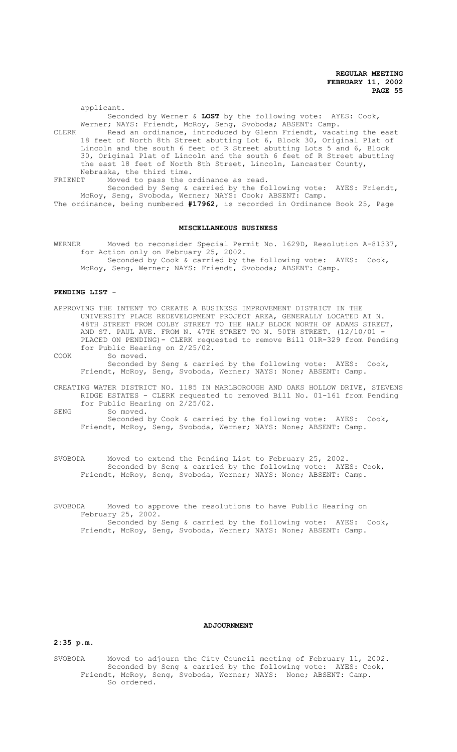applicant. Seconded by Werner & **LOST** by the following vote: AYES: Cook, Werner; NAYS: Friendt, McRoy, Seng, Svoboda; ABSENT: Camp. CLERK Read an ordinance, introduced by Glenn Friendt, vacating the east 18 feet of North 8th Street abutting Lot 6, Block 30, Original Plat of Lincoln and the south 6 feet of R Street abutting Lots 5 and 6, Block 30, Original Plat of Lincoln and the south 6 feet of R Street abutting the east 18 feet of North 8th Street, Lincoln, Lancaster County,

Nebraska, the third time.<br>FRIENDT Moved to pass the o

Moved to pass the ordinance as read.

Seconded by Seng & carried by the following vote: AYES: Friendt, McRoy, Seng, Svoboda, Werner; NAYS: Cook; ABSENT: Camp. The ordinance, being numbered **#17962**, is recorded in Ordinance Book 25, Page

#### **MISCELLANEOUS BUSINESS**

WERNER Moved to reconsider Special Permit No. 1629D, Resolution A-81337, for Action only on February 25, 2002. Seconded by Cook & carried by the following vote: AYES: Cook, McRoy, Seng, Werner; NAYS: Friendt, Svoboda; ABSENT: Camp.

## **PENDING LIST -**

APPROVING THE INTENT TO CREATE A BUSINESS IMPROVEMENT DISTRICT IN THE UNIVERSITY PLACE REDEVELOPMENT PROJECT AREA, GENERALLY LOCATED AT N. 48TH STREET FROM COLBY STREET TO THE HALF BLOCK NORTH OF ADAMS STREET, AND ST. PAUL AVE. FROM N. 47TH STREET TO N. 50TH STREET. (12/10/01 - PLACED ON PENDING)- CLERK requested to remove Bill 01R-329 from Pending for Public Hearing on 2/25/02.

COOK So moved.

Seconded by Seng & carried by the following vote: AYES: Cook, Friendt, McRoy, Seng, Svoboda, Werner; NAYS: None; ABSENT: Camp.

CREATING WATER DISTRICT NO. 1185 IN MARLBOROUGH AND OAKS HOLLOW DRIVE, STEVENS RIDGE ESTATES - CLERK requested to removed Bill No. 01-161 from Pending for Public Hearing on 2/25/02.

SENG So moved.

Seconded by Cook & carried by the following vote: AYES: Cook, Friendt, McRoy, Seng, Svoboda, Werner; NAYS: None; ABSENT: Camp.

SVOBODA Moved to extend the Pending List to February 25, 2002. Seconded by Seng & carried by the following vote: AYES: Cook, Friendt, McRoy, Seng, Svoboda, Werner; NAYS: None; ABSENT: Camp.

SVOBODA Moved to approve the resolutions to have Public Hearing on February 25, 2002. Seconded by Seng & carried by the following vote: AYES: Cook, Friendt, McRoy, Seng, Svoboda, Werner; NAYS: None; ABSENT: Camp.

#### **ADJOURNMENT**

#### **2:35 p.m.**

SVOBODA Moved to adjourn the City Council meeting of February 11, 2002. Seconded by Seng & carried by the following vote: AYES: Cook, Friendt, McRoy, Seng, Svoboda, Werner; NAYS: None; ABSENT: Camp. So ordered.